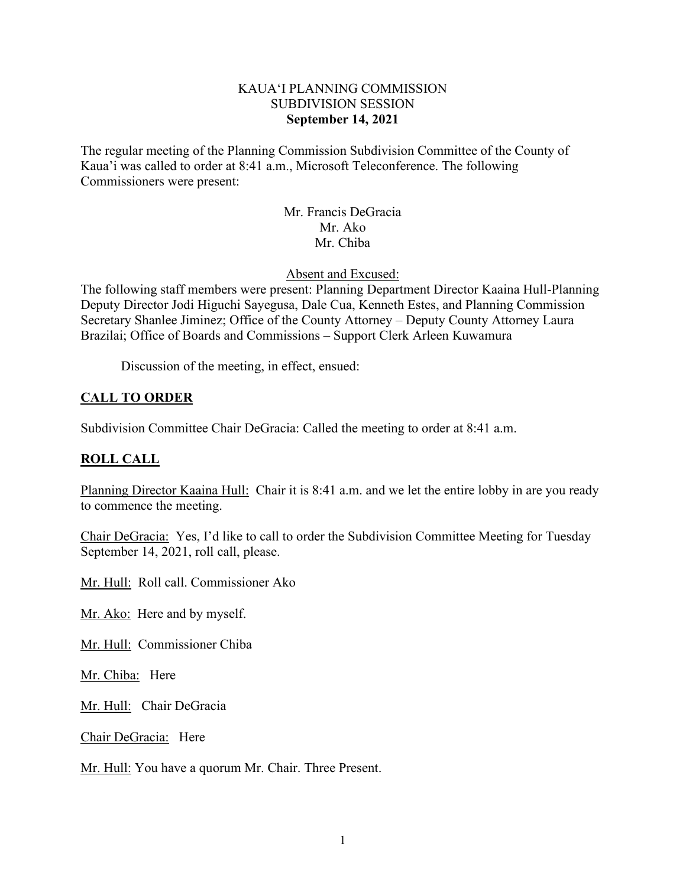### KAUA'I PLANNING COMMISSION SUBDIVISION SESSION **September 14, 2021**

The regular meeting of the Planning Commission Subdivision Committee of the County of Kaua'i was called to order at 8:41 a.m., Microsoft Teleconference. The following Commissioners were present:

> Mr. Francis DeGracia Mr. Ako Mr. Chiba

Absent and Excused:

The following staff members were present: Planning Department Director Kaaina Hull-Planning Deputy Director Jodi Higuchi Sayegusa, Dale Cua, Kenneth Estes, and Planning Commission Secretary Shanlee Jiminez; Office of the County Attorney – Deputy County Attorney Laura Brazilai; Office of Boards and Commissions – Support Clerk Arleen Kuwamura

Discussion of the meeting, in effect, ensued:

# **CALL TO ORDER**

Subdivision Committee Chair DeGracia: Called the meeting to order at 8:41 a.m.

## **ROLL CALL**

Planning Director Kaaina Hull: Chair it is 8:41 a.m. and we let the entire lobby in are you ready to commence the meeting.

Chair DeGracia: Yes, I'd like to call to order the Subdivision Committee Meeting for Tuesday September 14, 2021, roll call, please.

Mr. Hull: Roll call. Commissioner Ako

Mr. Ako: Here and by myself.

Mr. Hull: Commissioner Chiba

Mr. Chiba: Here

Mr. Hull: Chair DeGracia

Chair DeGracia: Here

Mr. Hull: You have a quorum Mr. Chair. Three Present.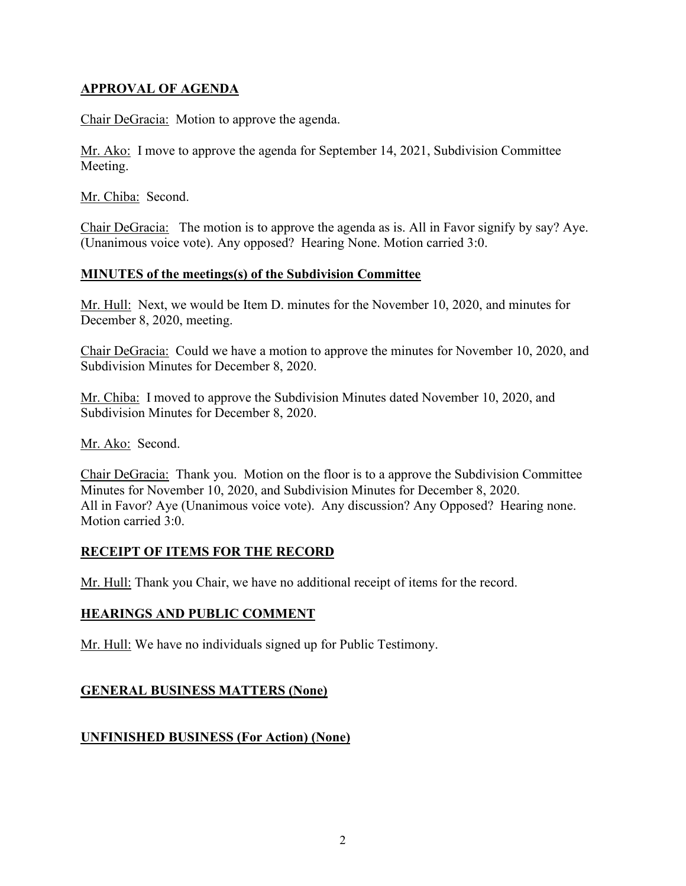# **APPROVAL OF AGENDA**

Chair DeGracia: Motion to approve the agenda.

Mr. Ako: I move to approve the agenda for September 14, 2021, Subdivision Committee Meeting.

Mr. Chiba: Second.

Chair DeGracia: The motion is to approve the agenda as is. All in Favor signify by say? Aye. (Unanimous voice vote). Any opposed? Hearing None. Motion carried 3:0.

### **MINUTES of the meetings(s) of the Subdivision Committee**

Mr. Hull: Next, we would be Item D. minutes for the November 10, 2020, and minutes for December 8, 2020, meeting.

Chair DeGracia: Could we have a motion to approve the minutes for November 10, 2020, and Subdivision Minutes for December 8, 2020.

Mr. Chiba: I moved to approve the Subdivision Minutes dated November 10, 2020, and Subdivision Minutes for December 8, 2020.

Mr. Ako: Second.

Chair DeGracia: Thank you. Motion on the floor is to a approve the Subdivision Committee Minutes for November 10, 2020, and Subdivision Minutes for December 8, 2020. All in Favor? Aye (Unanimous voice vote). Any discussion? Any Opposed? Hearing none. Motion carried 3:0.

## **RECEIPT OF ITEMS FOR THE RECORD**

Mr. Hull: Thank you Chair, we have no additional receipt of items for the record.

#### **HEARINGS AND PUBLIC COMMENT**

Mr. Hull: We have no individuals signed up for Public Testimony.

## **GENERAL BUSINESS MATTERS (None)**

## **UNFINISHED BUSINESS (For Action) (None)**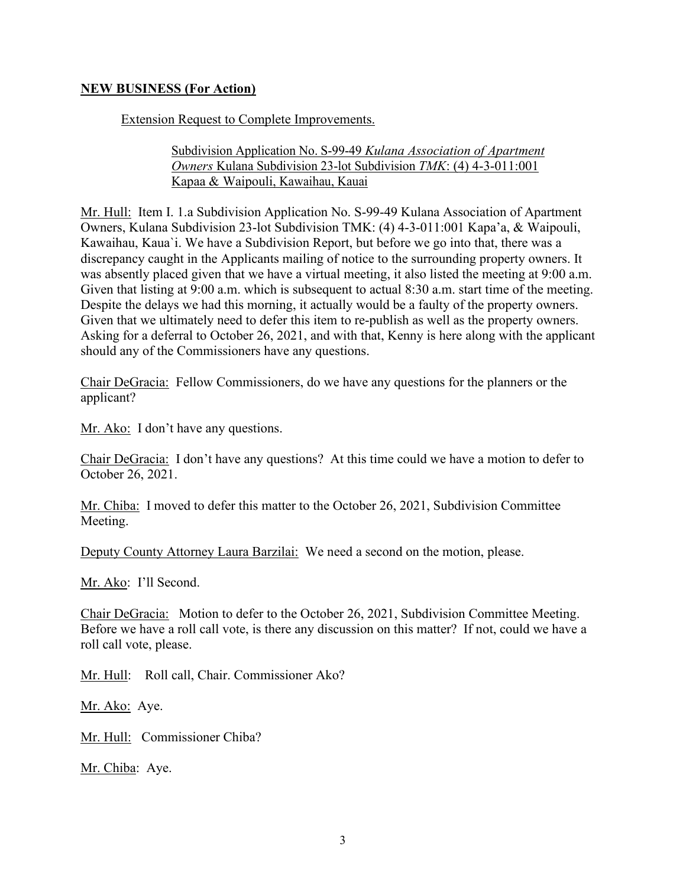### **NEW BUSINESS (For Action)**

Extension Request to Complete Improvements.

#### Subdivision Application No. S-99-49 *Kulana Association of Apartment Owners* Kulana Subdivision 23-lot Subdivision *TMK*: (4) 4-3-011:001 Kapaa & Waipouli, Kawaihau, Kauai

Mr. Hull: Item I. 1.a Subdivision Application No. S-99-49 Kulana Association of Apartment Owners, Kulana Subdivision 23-lot Subdivision TMK: (4) 4-3-011:001 Kapa'a, & Waipouli, Kawaihau, Kaua`i. We have a Subdivision Report, but before we go into that, there was a discrepancy caught in the Applicants mailing of notice to the surrounding property owners. It was absently placed given that we have a virtual meeting, it also listed the meeting at 9:00 a.m. Given that listing at 9:00 a.m. which is subsequent to actual 8:30 a.m. start time of the meeting. Despite the delays we had this morning, it actually would be a faulty of the property owners. Given that we ultimately need to defer this item to re-publish as well as the property owners. Asking for a deferral to October 26, 2021, and with that, Kenny is here along with the applicant should any of the Commissioners have any questions.

Chair DeGracia: Fellow Commissioners, do we have any questions for the planners or the applicant?

Mr. Ako: I don't have any questions.

Chair DeGracia: I don't have any questions? At this time could we have a motion to defer to October 26, 2021.

Mr. Chiba: I moved to defer this matter to the October 26, 2021, Subdivision Committee Meeting.

Deputy County Attorney Laura Barzilai: We need a second on the motion, please.

Mr. Ako: I'll Second.

Chair DeGracia: Motion to defer to the October 26, 2021, Subdivision Committee Meeting. Before we have a roll call vote, is there any discussion on this matter? If not, could we have a roll call vote, please.

Mr. Hull: Roll call, Chair. Commissioner Ako?

Mr. Ako: Aye.

Mr. Hull: Commissioner Chiba?

Mr. Chiba: Aye.